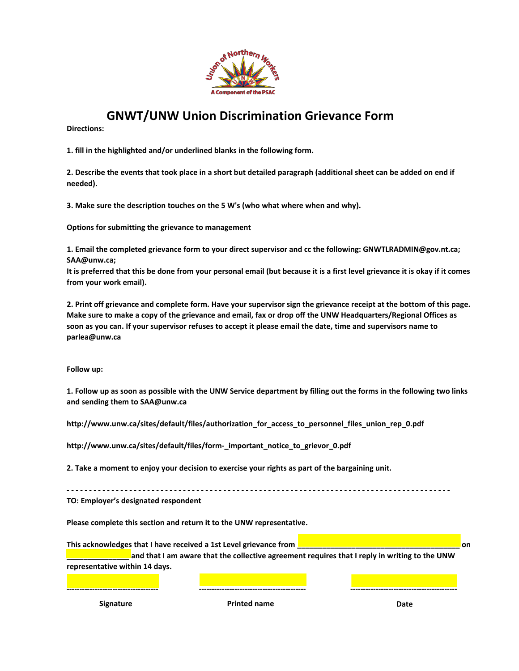

## **GNWT/UNW Union Discrimination Grievance Form**

**Directions:** 

**1. fill in the highlighted and/or underlined blanks in the following form.**

**2. Describe the events that took place in a short but detailed paragraph (additional sheet can be added on end if needed).**

**3. Make sure the description touches on the 5 W's (who what where when and why).**

**Options for submitting the grievance to management**

**1. Email the completed grievance form to your direct supervisor and cc the following: GNWTLRADMIN@gov.nt.ca; SAA@unw.ca;**

**It is preferred that this be done from your personal email (but because it is a first level grievance it is okay if it comes from your work email).**

**2. Print off grievance and complete form. Have your supervisor sign the grievance receipt at the bottom of this page. Make sure to make a copy of the grievance and email, fax or drop off the UNW Headquarters/Regional Offices as soon as you can. If your supervisor refuses to accept it please email the date, time and supervisors name to parlea@unw.ca**

**Follow up:**

**1. Follow up as soon as possible with the UNW Service department by filling out the forms in the following two links and sending them to SAA@unw.ca**

**http://www.unw.ca/sites/default/files/authorization\_for\_access\_to\_personnel\_files\_union\_rep\_0.pdf** 

**http://www.unw.ca/sites/default/files/form-\_important\_notice\_to\_grievor\_0.pdf**

**2. Take a moment to enjoy your decision to exercise your rights as part of the bargaining unit.**

**- - - - - - - - - - - - - - - - - - - - - - - - - - - - - - - - - - - - - - - - - - - - - - - - - - - - - - - - - - - - - - - - - - - - - - - - - - - - - - - - - - - - - - TO: Employer's designated respondent**

**Please complete this section and return it to the UNW representative.**

**This acknowledges that I have received a 1st Level grievance from \_\_\_\_\_\_\_\_\_\_\_\_\_\_\_\_\_\_\_\_\_\_\_\_\_\_\_\_\_\_\_\_\_\_\_\_\_\_\_ on \_\_\_\_\_\_\_\_\_\_\_\_\_\_\_ and that I am aware that the collective agreement requires that I reply in writing to the UNW representative within 14 days.**

**------------------------------------ ------------------------------------------ ------------------------------------------**

**Signature Printed name Date**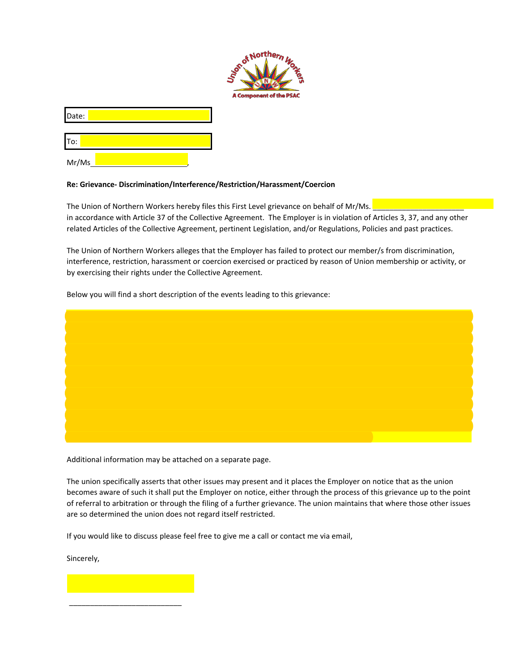

Date:

To:

Mr/Ms,

## **Re: Grievance- Discrimination/Interference/Restriction/Harassment/Coercion**

The Union of Northern Workers hereby files this First Level grievance on behalf of Mr/Ms. in accordance with Article 37 of the Collective Agreement. The Employer is in violation of Articles 3, 37, and any other related Articles of the Collective Agreement, pertinent Legislation, and/or Regulations, Policies and past practices.

The Union of Northern Workers alleges that the Employer has failed to protect our member/s from discrimination, interference, restriction, harassment or coercion exercised or practiced by reason of Union membership or activity, or by exercising their rights under the Collective Agreement.

Below you will find a short description of the events leading to this grievance:



Additional information may be attached on a separate page.

The union specifically asserts that other issues may present and it places the Employer on notice that as the union becomes aware of such it shall put the Employer on notice, either through the process of this grievance up to the point of referral to arbitration or through the filing of a further grievance. The union maintains that where those other issues are so determined the union does not regard itself restricted.

If you would like to discuss please feel free to give me a call or contact me via email,

Sincerely,

\_\_\_\_\_\_\_\_\_\_\_\_\_\_\_\_\_\_\_\_\_\_\_\_\_\_\_